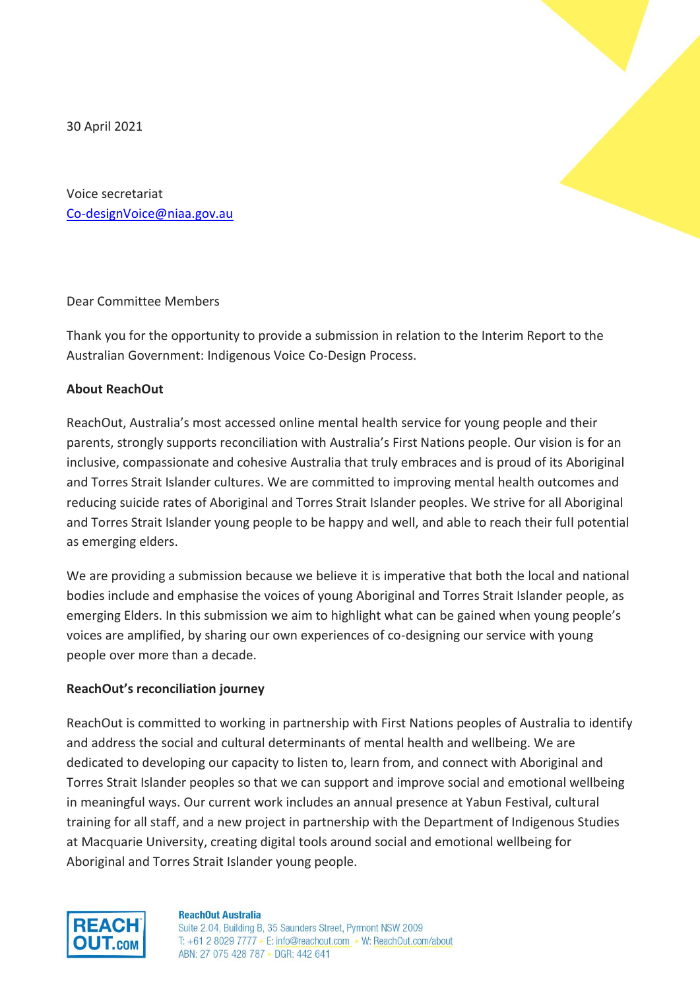30 April 2021



Voice secretariat [Co-designVoice@niaa.gov.au](mailto:Co-designVoice@niaa.gov.au)

Dear Committee Members

Thank you for the opportunity to provide a submission in relation to the Interim Report to the Australian Government: Indigenous Voice Co-Design Process.

### **About ReachOut**

ReachOut, Australia's most accessed online mental health service for young people and their parents, strongly supports reconciliation with Australia's First Nations people. Our vision is for an inclusive, compassionate and cohesive Australia that truly embraces and is proud of its Aboriginal and Torres Strait Islander cultures. We are committed to improving mental health outcomes and reducing suicide rates of Aboriginal and Torres Strait Islander peoples. We strive for all Aboriginal and Torres Strait Islander young people to be happy and well, and able to reach their full potential as emerging elders.

We are providing a submission because we believe it is imperative that both the local and national bodies include and emphasise the voices of young Aboriginal and Torres Strait Islander people, as emerging Elders. In this submission we aim to highlight what can be gained when young people's voices are amplified, by sharing our own experiences of co-designing our service with young people over more than a decade.

### **ReachOut's reconciliation journey**

ReachOut is committed to working in partnership with First Nations peoples of Australia to identify and address the social and cultural determinants of mental health and wellbeing. We are dedicated to developing our capacity to listen to, learn from, and connect with Aboriginal and Torres Strait Islander peoples so that we can support and improve social and emotional wellbeing in meaningful ways. Our current work includes an annual presence at Yabun Festival, cultural training for all staff, and a new project in partnership with the Department of Indigenous Studies at Macquarie University, creating digital tools around social and emotional wellbeing for Aboriginal and Torres Strait Islander young people.



#### **ReachOut Australia**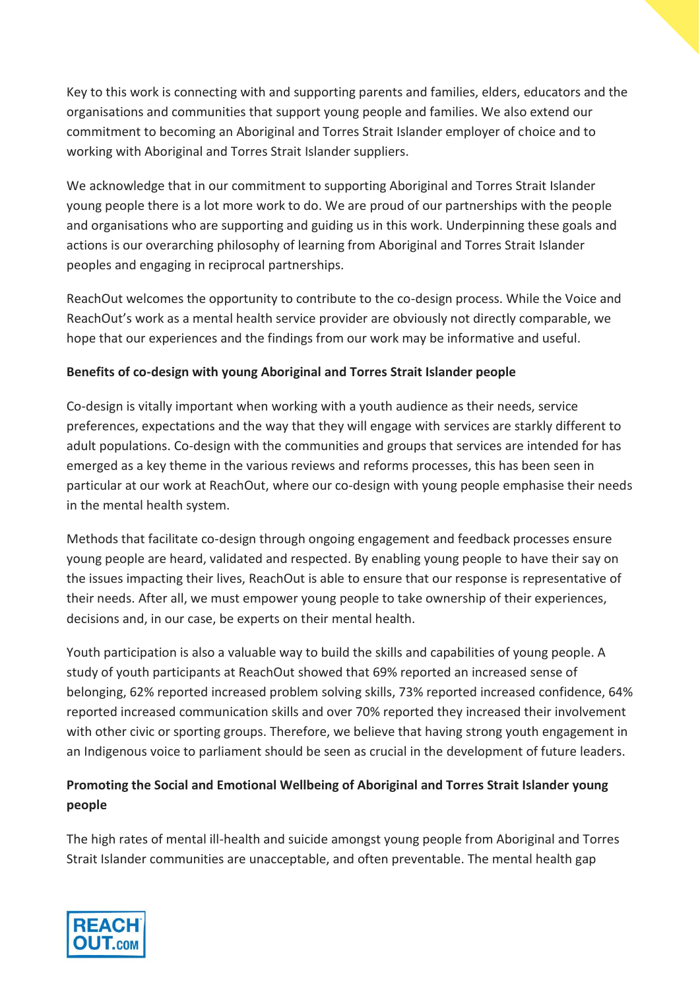Key to this work is connecting with and supporting parents and families, elders, educators and the organisations and communities that support young people and families. We also extend our commitment to becoming an Aboriginal and Torres Strait Islander employer of choice and to working with Aboriginal and Torres Strait Islander suppliers.

We acknowledge that in our commitment to supporting Aboriginal and Torres Strait Islander young people there is a lot more work to do. We are proud of our partnerships with the people and organisations who are supporting and guiding us in this work. Underpinning these goals and actions is our overarching philosophy of learning from Aboriginal and Torres Strait Islander peoples and engaging in reciprocal partnerships.

ReachOut welcomes the opportunity to contribute to the co-design process. While the Voice and ReachOut's work as a mental health service provider are obviously not directly comparable, we hope that our experiences and the findings from our work may be informative and useful.

## **Benefits of co-design with young Aboriginal and Torres Strait Islander people**

Co-design is vitally important when working with a youth audience as their needs, service preferences, expectations and the way that they will engage with services are starkly different to adult populations. Co-design with the communities and groups that services are intended for has emerged as a key theme in the various reviews and reforms processes, this has been seen in particular at our work at ReachOut, where our co-design with young people emphasise their needs in the mental health system.

Methods that facilitate co-design through ongoing engagement and feedback processes ensure young people are heard, validated and respected. By enabling young people to have their say on the issues impacting their lives, ReachOut is able to ensure that our response is representative of their needs. After all, we must empower young people to take ownership of their experiences, decisions and, in our case, be experts on their mental health.

Youth participation is also a valuable way to build the skills and capabilities of young people. A study of youth participants at ReachOut showed that 69% reported an increased sense of belonging, 62% reported increased problem solving skills, 73% reported increased confidence, 64% reported increased communication skills and over 70% reported they increased their involvement with other civic or sporting groups. Therefore, we believe that having strong youth engagement in an Indigenous voice to parliament should be seen as crucial in the development of future leaders.

# **Promoting the Social and Emotional Wellbeing of Aboriginal and Torres Strait Islander young people**

The high rates of mental ill-health and suicide amongst young people from Aboriginal and Torres Strait Islander communities are unacceptable, and often preventable. The mental health gap